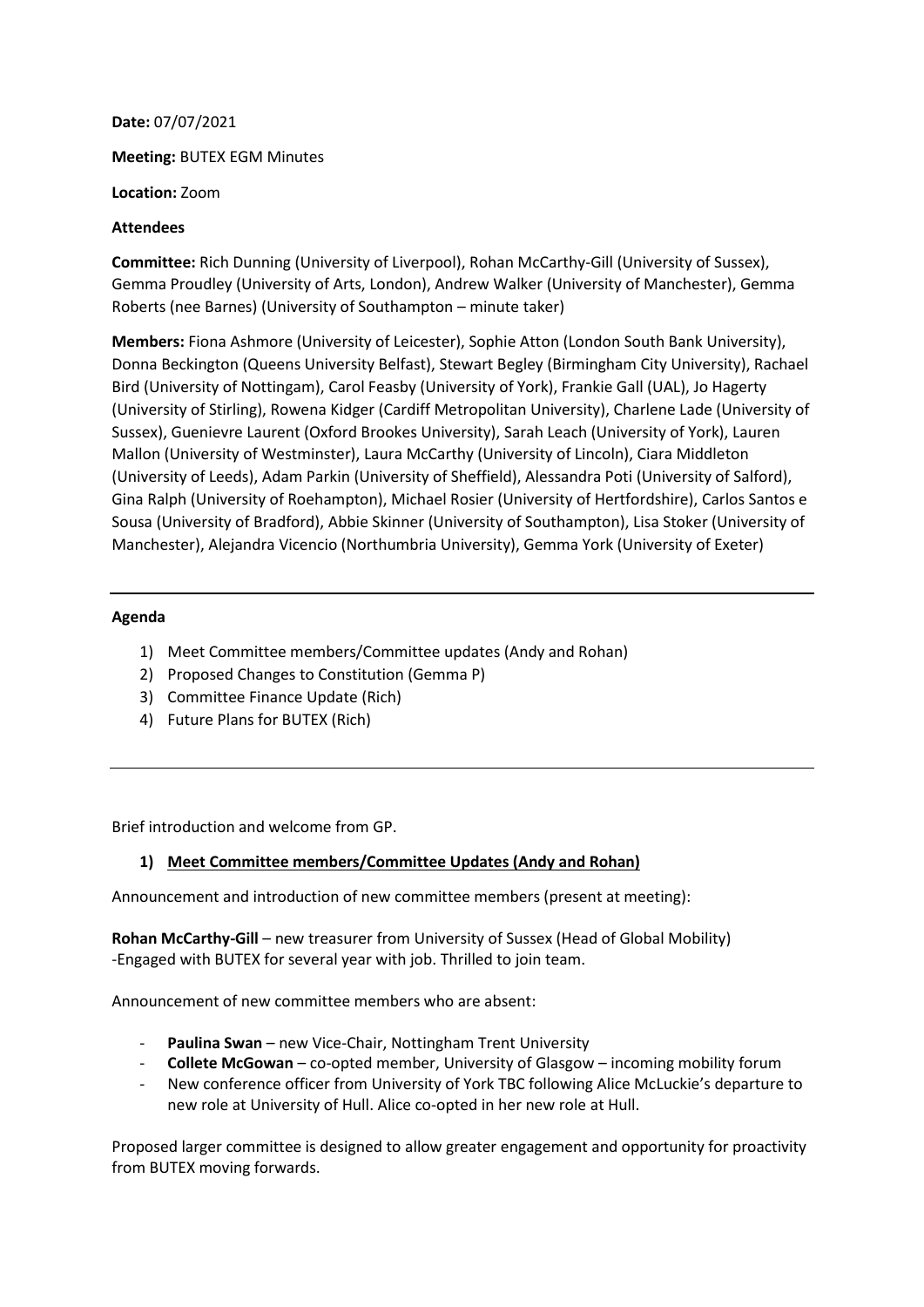**Date:** 07/07/2021

**Meeting:** BUTEX EGM Minutes

**Location:** Zoom

#### **Attendees**

**Committee:** Rich Dunning (University of Liverpool), Rohan McCarthy-Gill (University of Sussex), Gemma Proudley (University of Arts, London), Andrew Walker (University of Manchester), Gemma Roberts (nee Barnes) (University of Southampton – minute taker)

**Members:** Fiona Ashmore (University of Leicester), Sophie Atton (London South Bank University), Donna Beckington (Queens University Belfast), Stewart Begley (Birmingham City University), Rachael Bird (University of Nottingam), Carol Feasby (University of York), Frankie Gall (UAL), Jo Hagerty (University of Stirling), Rowena Kidger (Cardiff Metropolitan University), Charlene Lade (University of Sussex), Guenievre Laurent (Oxford Brookes University), Sarah Leach (University of York), Lauren Mallon (University of Westminster), Laura McCarthy (University of Lincoln), Ciara Middleton (University of Leeds), Adam Parkin (University of Sheffield), Alessandra Poti (University of Salford), Gina Ralph (University of Roehampton), Michael Rosier (University of Hertfordshire), Carlos Santos e Sousa (University of Bradford), Abbie Skinner (University of Southampton), Lisa Stoker (University of Manchester), Alejandra Vicencio (Northumbria University), Gemma York (University of Exeter)

### **Agenda**

- 1) Meet Committee members/Committee updates (Andy and Rohan)
- 2) Proposed Changes to Constitution (Gemma P)
- 3) Committee Finance Update (Rich)
- 4) Future Plans for BUTEX (Rich)

Brief introduction and welcome from GP.

### **1) Meet Committee members/Committee Updates (Andy and Rohan)**

Announcement and introduction of new committee members (present at meeting):

**Rohan McCarthy-Gill** – new treasurer from University of Sussex (Head of Global Mobility) -Engaged with BUTEX for several year with job. Thrilled to join team.

Announcement of new committee members who are absent:

- Paulina Swan new Vice-Chair, Nottingham Trent University
- **Collete McGowan** co-opted member, University of Glasgow incoming mobility forum
- New conference officer from University of York TBC following Alice McLuckie's departure to new role at University of Hull. Alice co-opted in her new role at Hull.

Proposed larger committee is designed to allow greater engagement and opportunity for proactivity from BUTEX moving forwards.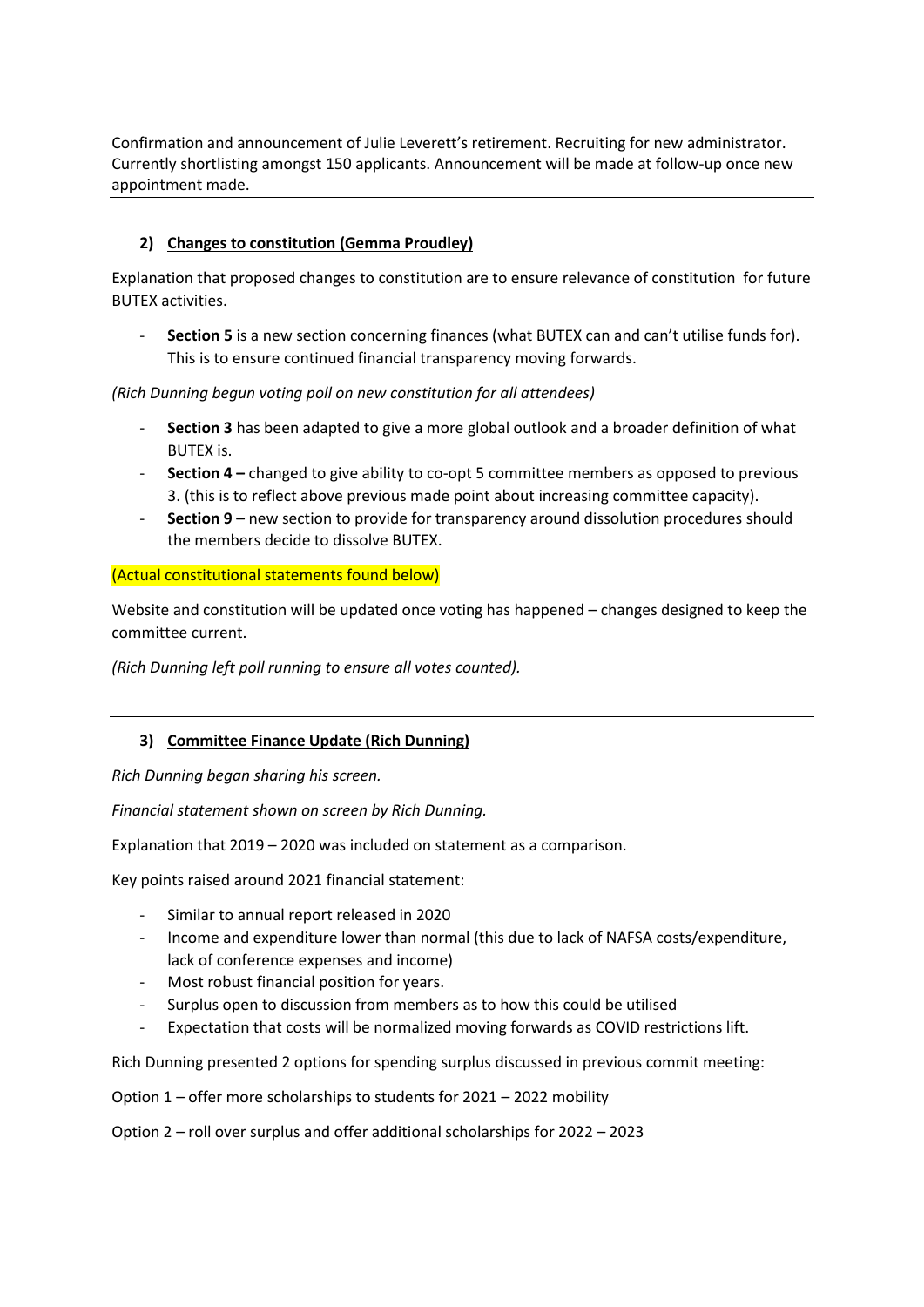Confirmation and announcement of Julie Leverett's retirement. Recruiting for new administrator. Currently shortlisting amongst 150 applicants. Announcement will be made at follow-up once new appointment made.

# **2) Changes to constitution (Gemma Proudley)**

Explanation that proposed changes to constitution are to ensure relevance of constitution for future BUTEX activities.

- **Section 5** is a new section concerning finances (what BUTEX can and can't utilise funds for). This is to ensure continued financial transparency moving forwards.

*(Rich Dunning begun voting poll on new constitution for all attendees)*

- **Section 3** has been adapted to give a more global outlook and a broader definition of what BUTEX is.
- **Section 4 –** changed to give ability to co-opt 5 committee members as opposed to previous 3. (this is to reflect above previous made point about increasing committee capacity).
- **Section 9** new section to provide for transparency around dissolution procedures should the members decide to dissolve BUTEX.

## (Actual constitutional statements found below)

Website and constitution will be updated once voting has happened – changes designed to keep the committee current.

*(Rich Dunning left poll running to ensure all votes counted).* 

# **3) Committee Finance Update (Rich Dunning)**

*Rich Dunning began sharing his screen.* 

*Financial statement shown on screen by Rich Dunning.* 

Explanation that 2019 – 2020 was included on statement as a comparison.

Key points raised around 2021 financial statement:

- Similar to annual report released in 2020
- Income and expenditure lower than normal (this due to lack of NAFSA costs/expenditure, lack of conference expenses and income)
- Most robust financial position for years.
- Surplus open to discussion from members as to how this could be utilised
- Expectation that costs will be normalized moving forwards as COVID restrictions lift.

Rich Dunning presented 2 options for spending surplus discussed in previous commit meeting:

Option 1 – offer more scholarships to students for 2021 – 2022 mobility

Option 2 – roll over surplus and offer additional scholarships for 2022 – 2023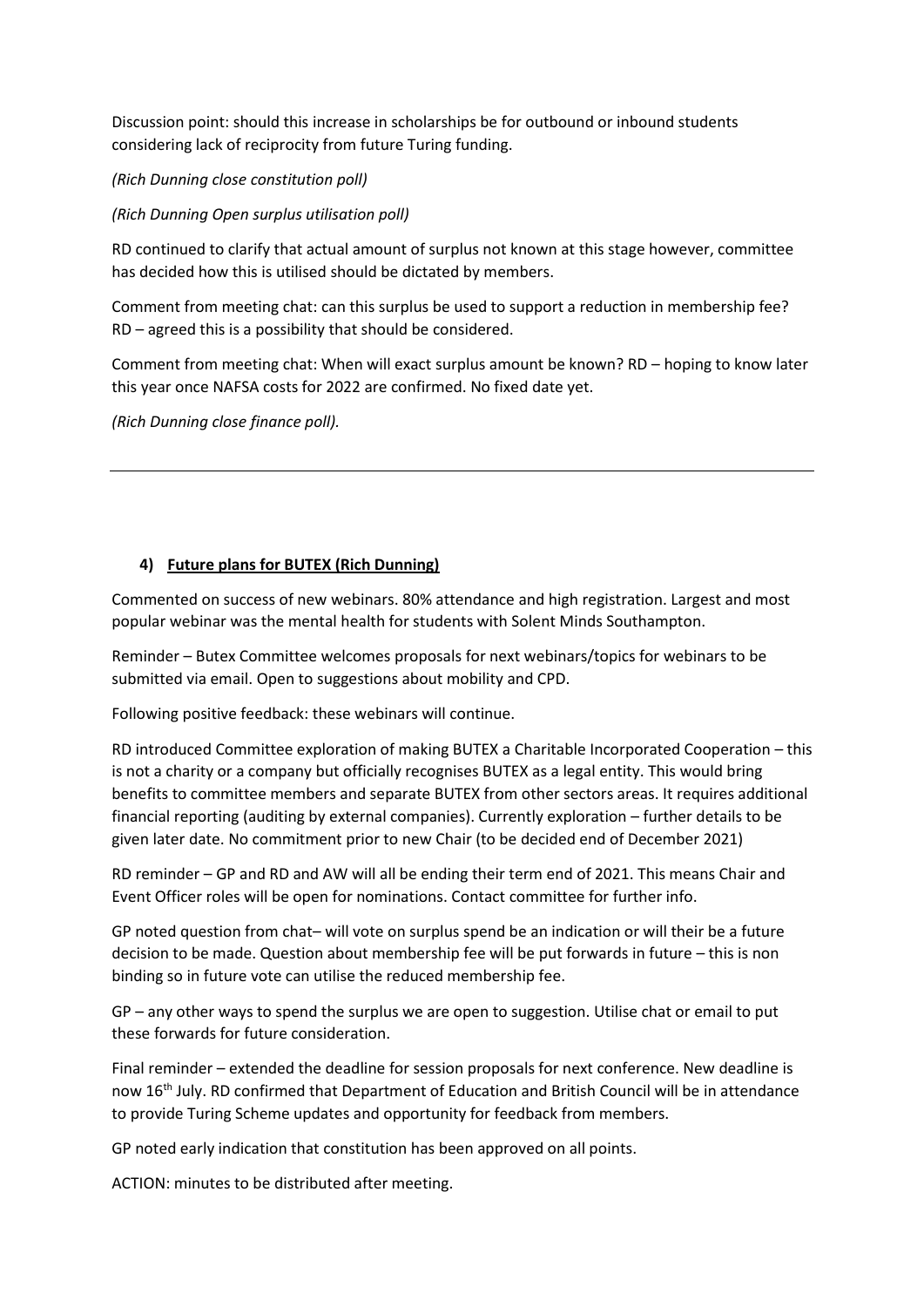Discussion point: should this increase in scholarships be for outbound or inbound students considering lack of reciprocity from future Turing funding.

*(Rich Dunning close constitution poll)*

*(Rich Dunning Open surplus utilisation poll)* 

RD continued to clarify that actual amount of surplus not known at this stage however, committee has decided how this is utilised should be dictated by members.

Comment from meeting chat: can this surplus be used to support a reduction in membership fee? RD – agreed this is a possibility that should be considered.

Comment from meeting chat: When will exact surplus amount be known? RD – hoping to know later this year once NAFSA costs for 2022 are confirmed. No fixed date yet.

*(Rich Dunning close finance poll).* 

## **4) Future plans for BUTEX (Rich Dunning)**

Commented on success of new webinars. 80% attendance and high registration. Largest and most popular webinar was the mental health for students with Solent Minds Southampton.

Reminder – Butex Committee welcomes proposals for next webinars/topics for webinars to be submitted via email. Open to suggestions about mobility and CPD.

Following positive feedback: these webinars will continue.

RD introduced Committee exploration of making BUTEX a Charitable Incorporated Cooperation – this is not a charity or a company but officially recognises BUTEX as a legal entity. This would bring benefits to committee members and separate BUTEX from other sectors areas. It requires additional financial reporting (auditing by external companies). Currently exploration – further details to be given later date. No commitment prior to new Chair (to be decided end of December 2021)

RD reminder – GP and RD and AW will all be ending their term end of 2021. This means Chair and Event Officer roles will be open for nominations. Contact committee for further info.

GP noted question from chat– will vote on surplus spend be an indication or will their be a future decision to be made. Question about membership fee will be put forwards in future – this is non binding so in future vote can utilise the reduced membership fee.

GP – any other ways to spend the surplus we are open to suggestion. Utilise chat or email to put these forwards for future consideration.

Final reminder – extended the deadline for session proposals for next conference. New deadline is now 16<sup>th</sup> July. RD confirmed that Department of Education and British Council will be in attendance to provide Turing Scheme updates and opportunity for feedback from members.

GP noted early indication that constitution has been approved on all points.

ACTION: minutes to be distributed after meeting.